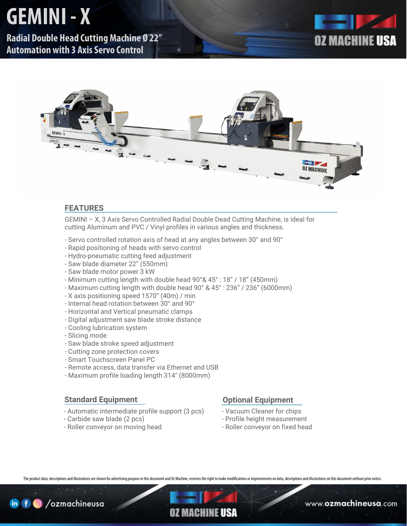## **GEMINI - X**

**Radial Double Head Cutting Machine Ø 22" Automation with 3 Axis Servo Control**





#### **FEATURES**

GEMINI – X, 3 Axis Servo Controlled Radial Double Dead Cutting Machine, is ideal for cutting Aluminum and PVC / Vinyl profiles in various angles and thickness.

- Servo controlled rotation axis of head at any angles between 30° and 90°
- Rapid positioning of heads with servo control
- Hydro-pneumatic cutting feed adjustment
- Saw blade diameter 22" (550mm)
- Saw blade motor power 3 kW
- Minimum cutting length with double head 90°& 45° : 18" / 18" (450mm)
- Maximum cutting length with double head 90° & 45° : 236" / 236" (6000mm)
- X axis positioning speed 1570" (40m) / min
- Internal head rotation between 30° and 90°
- Horizontal and Vertical pneumatic clamps
- Digital adjustment saw blade stroke distance
- Cooling lubrication system
- Slicing mode
- Saw blade stroke speed adjustment
- Cutting zone protection covers
- Smart Touchscreen Panel PC
- Remote access, data transfer via Ethernet and USB
- Maximum profile loading length 314" (8000mm)

#### **Standard Equipment**

- Automatic intermediate profile support (3 pcs)
- Carbide saw blade (2 pcs)
- Roller conveyor on moving head

#### **Optional Equipmen**t

- Vacuum Cleaner for chips
- Profile height measurement
- Roller conveyor on fixed head

The product data, descriptions and illustrations are shown for advertising purpose in this document and Oz Machine, reserves the right to make modifications or improvements on data, descriptions and illustrations on this d



### OZ MACHINE **USA**

www.**ozmachineusa**.com